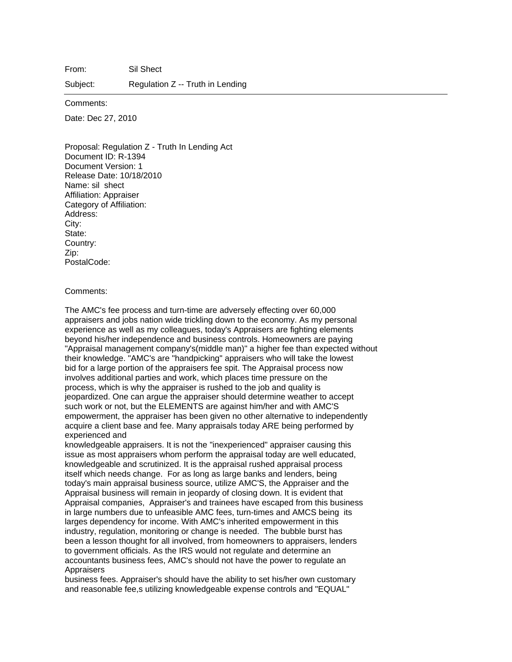From: Sil Shect

Subject: Regulation Z -- Truth in Lending

Comments:

Date: Dec 27, 2010

Proposal: Regulation Z - Truth In Lending Act Document ID: R-1394 Document Version: 1 Release Date: 10/18/2010 Name: sil shect Affiliation: Appraiser Category of Affiliation: Address: City: State: Country: Zip: PostalCode:

## Comments:

The AMC's fee process and turn-time are adversely effecting over 60,000 appraisers and jobs nation wide trickling down to the economy. As my personal experience as well as my colleagues, today's Appraisers are fighting elements beyond his/her independence and business controls. Homeowners are paying "Appraisal management company's(middle man)" a higher fee than expected without their knowledge. "AMC's are "handpicking" appraisers who will take the lowest bid for a large portion of the appraisers fee spit. The Appraisal process now involves additional parties and work, which places time pressure on the process, which is why the appraiser is rushed to the job and quality is jeopardized. One can argue the appraiser should determine weather to accept such work or not, but the ELEMENTS are against him/her and with AMC'S empowerment, the appraiser has been given no other alternative to independently acquire a client base and fee. Many appraisals today ARE being performed by experienced and

knowledgeable appraisers. It is not the "inexperienced" appraiser causing this issue as most appraisers whom perform the appraisal today are well educated, knowledgeable and scrutinized. It is the appraisal rushed appraisal process itself which needs change. For as long as large banks and lenders, being today's main appraisal business source, utilize AMC'S, the Appraiser and the Appraisal business will remain in jeopardy of closing down. It is evident that Appraisal companies, Appraiser's and trainees have escaped from this business in large numbers due to unfeasible AMC fees, turn-times and AMCS being its larges dependency for income. With AMC's inherited empowerment in this industry, regulation, monitoring or change is needed. The bubble burst has been a lesson thought for all involved, from homeowners to appraisers, lenders to government officials. As the IRS would not regulate and determine an accountants business fees, AMC's should not have the power to regulate an Appraisers

business fees. Appraiser's should have the ability to set his/her own customary and reasonable fee,s utilizing knowledgeable expense controls and "EQUAL"